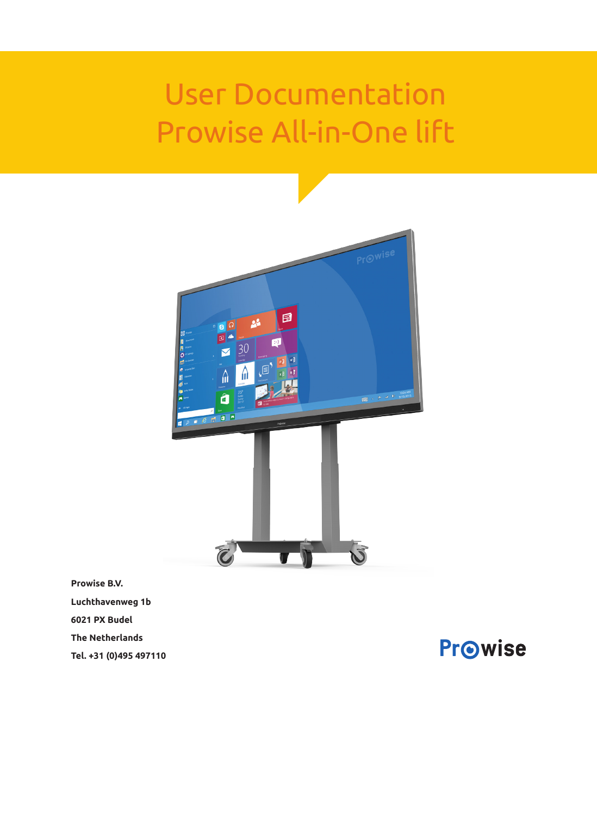# User Documentation Prowise All-in-One lift



**Prowise B.V. Luchthavenweg 1b 6021 PX Budel The Netherlands Tel. +31 (0)495 497110** 

**Prowise**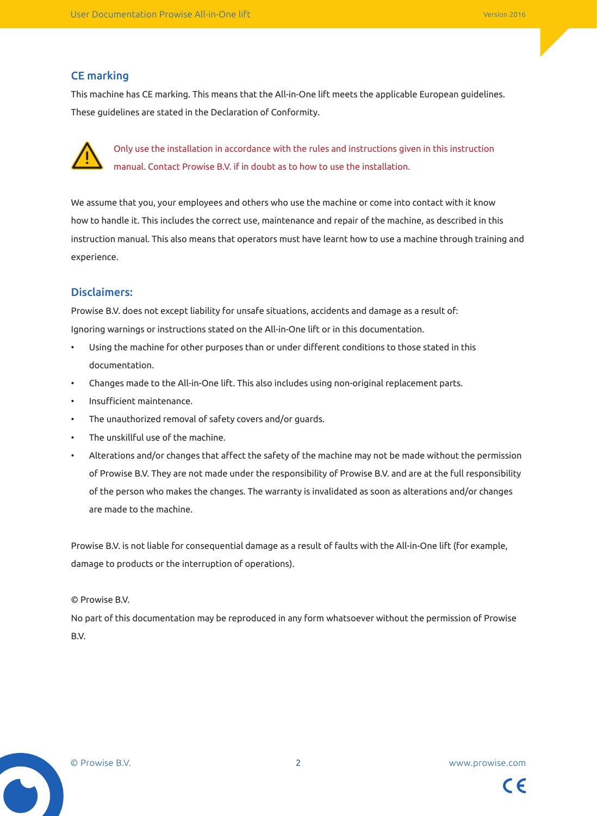### CE marking

This machine has CE marking. This means that the All-in-One lift meets the applicable European guidelines. These guidelines are stated in the Declaration of Conformity.



Only use the installation in accordance with the rules and instructions given in this instruction manual. Contact Prowise B.V. if in doubt as to how to use the installation.

We assume that you, your employees and others who use the machine or come into contact with it know how to handle it. This includes the correct use, maintenance and repair of the machine, as described in this instruction manual. This also means that operators must have learnt how to use a machine through training and experience.

### Disclaimers:

Prowise B.V. does not except liability for unsafe situations, accidents and damage as a result of: Ignoring warnings or instructions stated on the All-in-One lift or in this documentation.

- Using the machine for other purposes than or under different conditions to those stated in this documentation.
- Changes made to the All-in-One lift. This also includes using non-original replacement parts.
- Insufficient maintenance.
- The unauthorized removal of safety covers and/or guards.
- The unskillful use of the machine.
- Alterations and/or changes that affect the safety of the machine may not be made without the permission of Prowise B.V. They are not made under the responsibility of Prowise B.V. and are at the full responsibility of the person who makes the changes. The warranty is invalidated as soon as alterations and/or changes are made to the machine.

Prowise B.V. is not liable for consequential damage as a result of faults with the All-in-One lift (for example, damage to products or the interruption of operations).

© Prowise B.V.

No part of this documentation may be reproduced in any form whatsoever without the permission of Prowise B.V.

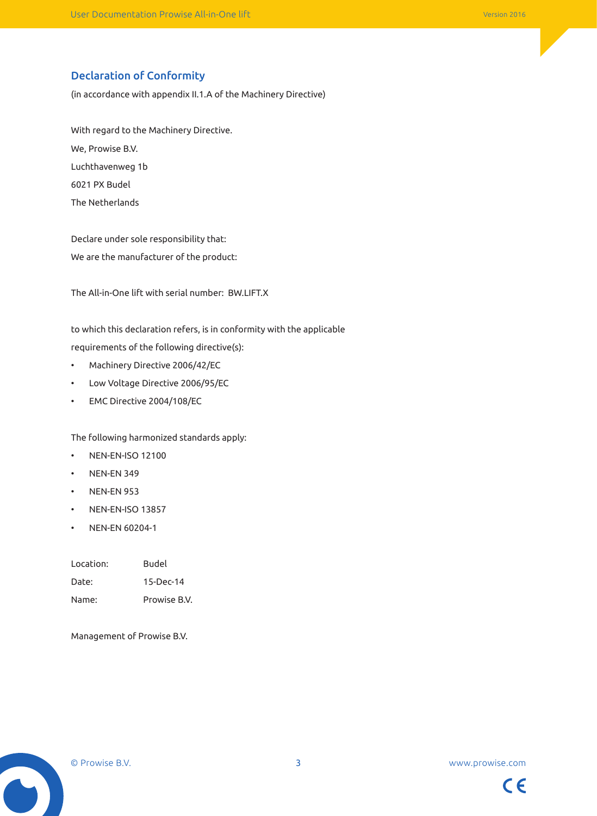### Declaration of Conformity

(in accordance with appendix II.1.A of the Machinery Directive)

With regard to the Machinery Directive. We, Prowise B.V. Luchthavenweg 1b 6021 PX Budel The Netherlands

Declare under sole responsibility that: We are the manufacturer of the product:

The All-in-One lift with serial number: BW.LIFT.X

to which this declaration refers, is in conformity with the applicable requirements of the following directive(s):

- Machinery Directive 2006/42/EC
- Low Voltage Directive 2006/95/EC
- EMC Directive 2004/108/EC

The following harmonized standards apply:

- NEN-EN-ISO 12100
- NEN-EN 349
- NEN-EN 953
- NEN-EN-ISO 13857
- NEN-EN 60204-1

| Location: | Budel        |
|-----------|--------------|
| Date:     | 15-Dec-14    |
| Name:     | Prowise B.V. |

Management of Prowise B.V.



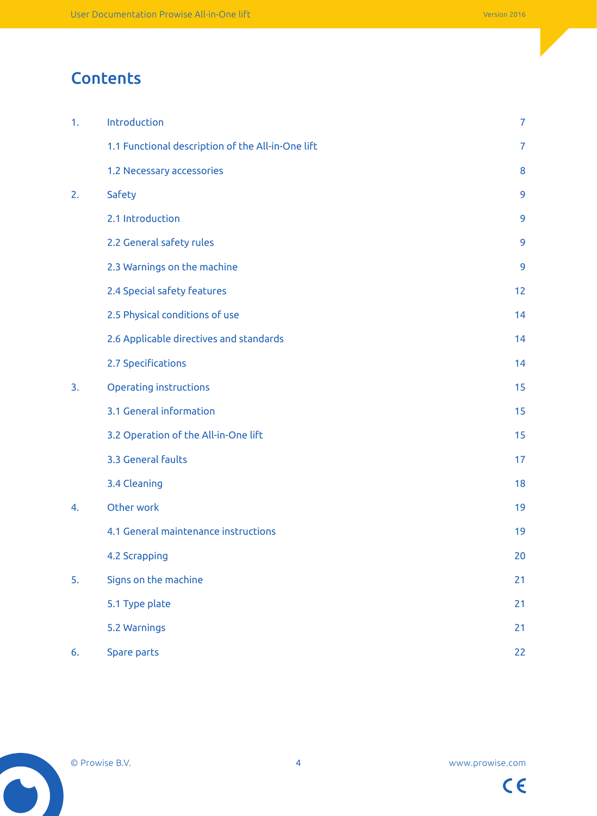# **Contents**

| 1. | Introduction                                      | $\overline{7}$ |
|----|---------------------------------------------------|----------------|
|    | 1.1 Functional description of the All-in-One lift | 7              |
|    | 1.2 Necessary accessories                         | 8              |
| 2. | Safety                                            | 9              |
|    | 2.1 Introduction                                  | 9              |
|    | 2.2 General safety rules                          | 9              |
|    | 2.3 Warnings on the machine                       | 9              |
|    | 2.4 Special safety features                       | 12             |
|    | 2.5 Physical conditions of use                    | 14             |
|    | 2.6 Applicable directives and standards           | 14             |
|    | 2.7 Specifications                                | 14             |
| 3. | <b>Operating instructions</b>                     | 15             |
|    | 3.1 General information                           | 15             |
|    | 3.2 Operation of the All-in-One lift              | 15             |
|    | 3.3 General faults                                | 17             |
|    | 3.4 Cleaning                                      | 18             |
| 4. | Other work                                        | 19             |
|    | 4.1 General maintenance instructions              | 19             |
|    | 4.2 Scrapping                                     | 20             |
| 5. | Signs on the machine                              | 21             |
|    | 5.1 Type plate                                    | 21             |
|    | 5.2 Warnings                                      | 21             |
| 6. | Spare parts                                       | 22             |

 $\bullet$ 

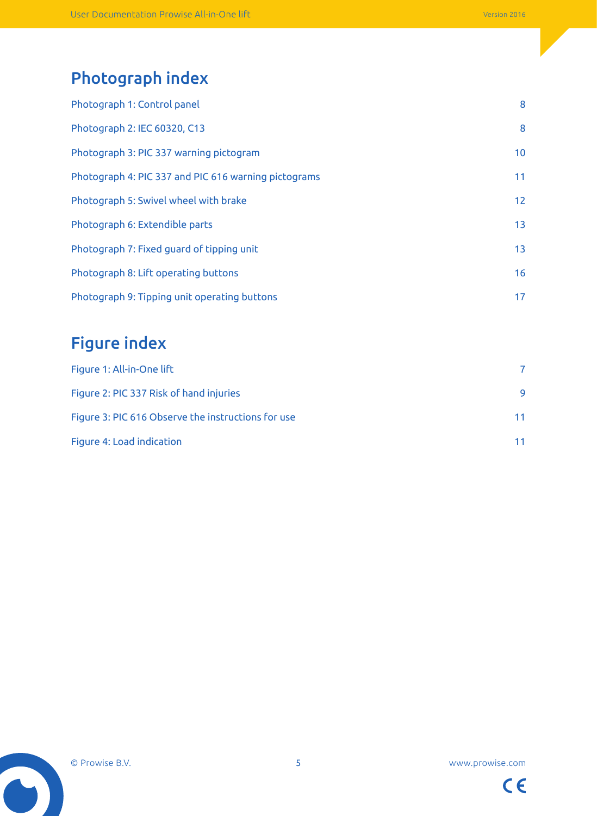# Photograph index

| Photograph 1: Control panel                          | 8               |
|------------------------------------------------------|-----------------|
| Photograph 2: IEC 60320, C13                         | 8               |
| Photograph 3: PIC 337 warning pictogram              | 10 <sup>°</sup> |
| Photograph 4: PIC 337 and PIC 616 warning pictograms | 11              |
| Photograph 5: Swivel wheel with brake                | 12              |
| Photograph 6: Extendible parts                       | 13              |
| Photograph 7: Fixed guard of tipping unit            | 13              |
| Photograph 8: Lift operating buttons                 | 16              |
| Photograph 9: Tipping unit operating buttons         | 17              |

# Figure index

| Figure 1: All-in-One lift                          |    |
|----------------------------------------------------|----|
| Figure 2: PIC 337 Risk of hand injuries            | 9  |
| Figure 3: PIC 616 Observe the instructions for use | 11 |
| Figure 4: Load indication                          | 11 |



 $\bullet$ 

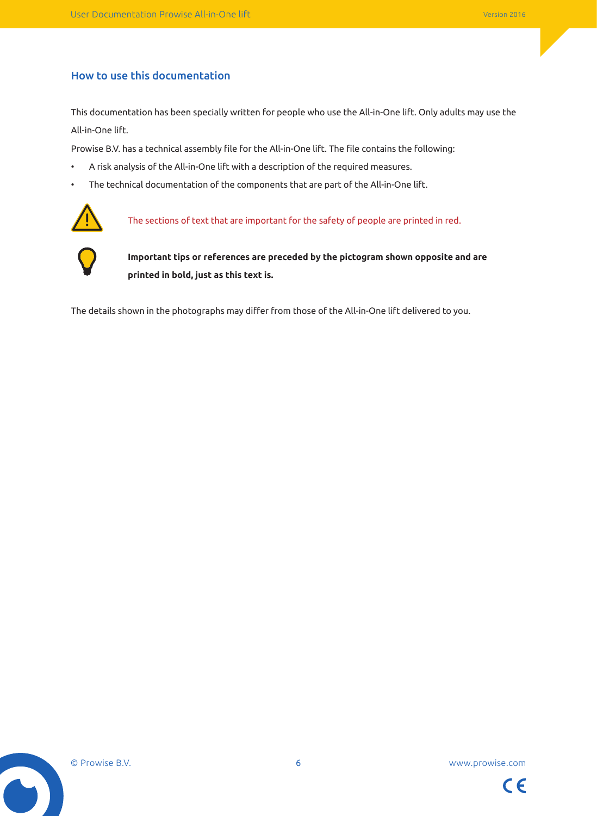### How to use this documentation

This documentation has been specially written for people who use the All-in-One lift. Only adults may use the All-in-One lift.

Prowise B.V. has a technical assembly file for the All-in-One lift. The file contains the following:

- A risk analysis of the All-in-One lift with a description of the required measures.
- The technical documentation of the components that are part of the All-in-One lift.



The sections of text that are important for the safety of people are printed in red.



**Important tips or references are preceded by the pictogram shown opposite and are printed in bold, just as this text is.**

The details shown in the photographs may differ from those of the All-in-One lift delivered to you.



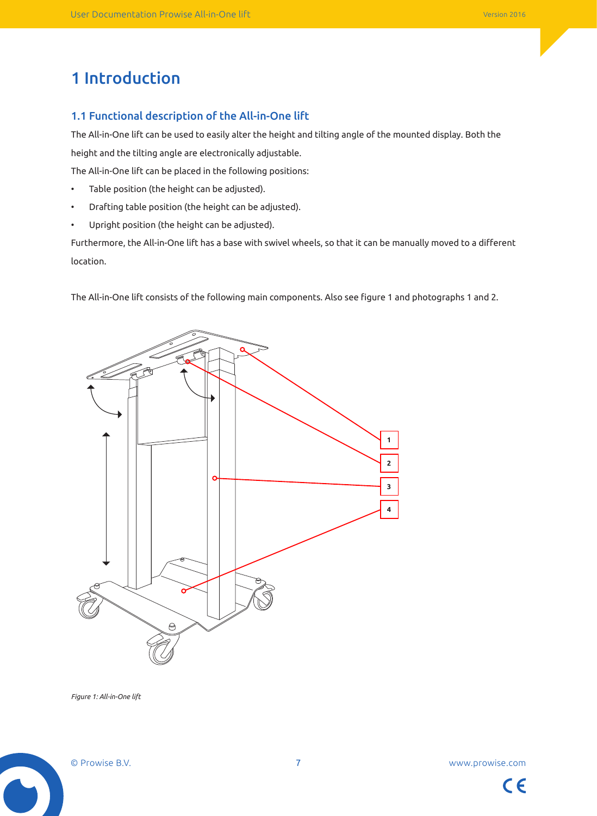# 1 Introduction

### 1.1 Functional description of the All-in-One lift

The All-in-One lift can be used to easily alter the height and tilting angle of the mounted display. Both the height and the tilting angle are electronically adjustable.

The All-in-One lift can be placed in the following positions:

- Table position (the height can be adjusted).
- Drafting table position (the height can be adjusted).
- Upright position (the height can be adjusted).

Furthermore, the All-in-One lift has a base with swivel wheels, so that it can be manually moved to a different location.

The All-in-One lift consists of the following main components. Also see figure 1 and photographs 1 and 2.



*Figure 1: All-in-One lift*

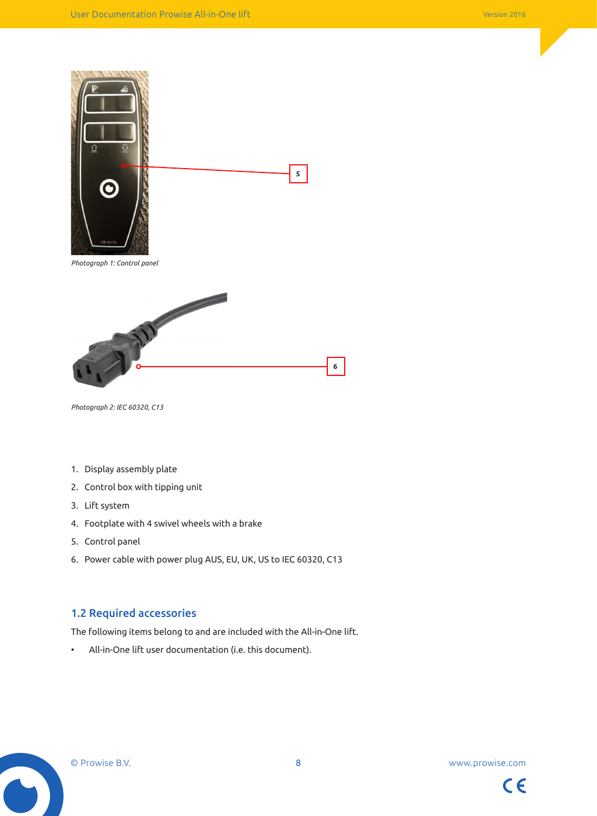



*Photograph 2: IEC 60320, C13*

- 1. Display assembly plate
- 2. Control box with tipping unit
- 3. Lift system
- 4. Footplate with 4 swivel wheels with a brake
- 5. Control panel
- 6. Power cable with power plug AUS, EU, UK, US to IEC 60320, C13

### 1.2 Required accessories

The following items belong to and are included with the All-in-One lift.

• All-in-One lift user documentation (i.e. this document).

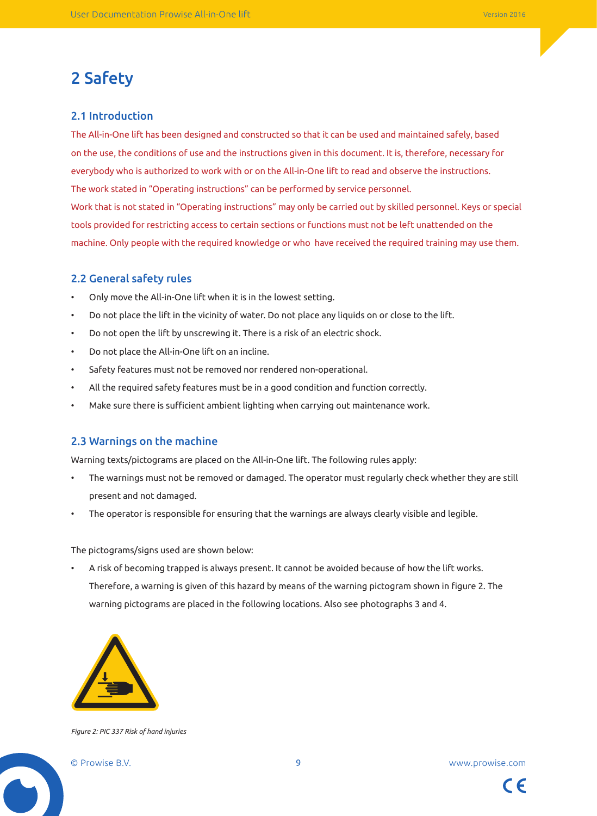# 2 Safety

#### 2.1 Introduction

The All-in-One lift has been designed and constructed so that it can be used and maintained safely, based on the use, the conditions of use and the instructions given in this document. It is, therefore, necessary for everybody who is authorized to work with or on the All-in-One lift to read and observe the instructions. The work stated in "Operating instructions" can be performed by service personnel. Work that is not stated in "Operating instructions" may only be carried out by skilled personnel. Keys or special tools provided for restricting access to certain sections or functions must not be left unattended on the machine. Only people with the required knowledge or who have received the required training may use them.

#### 2.2 General safety rules

- Only move the All-in-One lift when it is in the lowest setting.
- Do not place the lift in the vicinity of water. Do not place any liquids on or close to the lift.
- Do not open the lift by unscrewing it. There is a risk of an electric shock.
- Do not place the All-in-One lift on an incline.
- Safety features must not be removed nor rendered non-operational.
- All the required safety features must be in a good condition and function correctly.
- Make sure there is sufficient ambient lighting when carrying out maintenance work.

### 2.3 Warnings on the machine

Warning texts/pictograms are placed on the All-in-One lift. The following rules apply:

- The warnings must not be removed or damaged. The operator must regularly check whether they are still present and not damaged.
- The operator is responsible for ensuring that the warnings are always clearly visible and legible.

The pictograms/signs used are shown below:

• A risk of becoming trapped is always present. It cannot be avoided because of how the lift works. Therefore, a warning is given of this hazard by means of the warning pictogram shown in figure 2. The warning pictograms are placed in the following locations. Also see photographs 3 and 4.



*Figure 2: PIC 337 Risk of hand injuries*

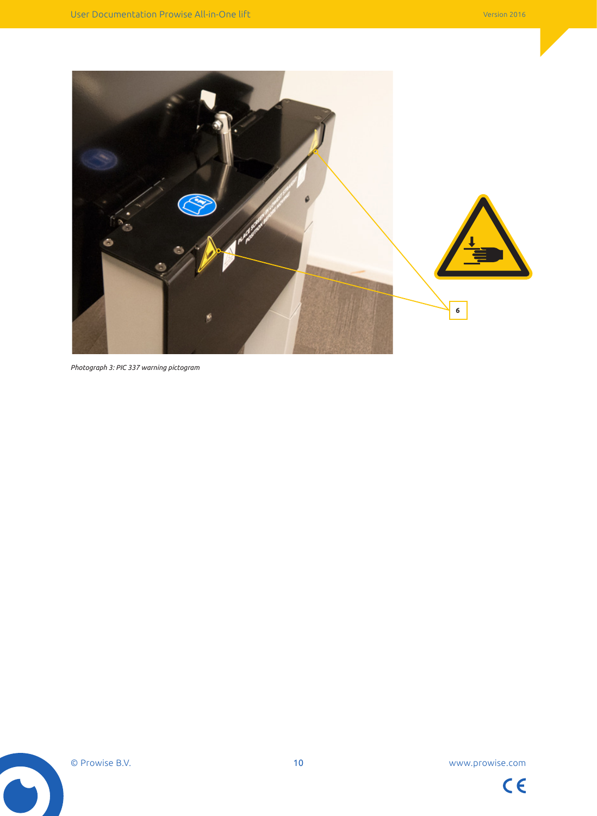

```
Photograph 3: PIC 337 warning pictogram
```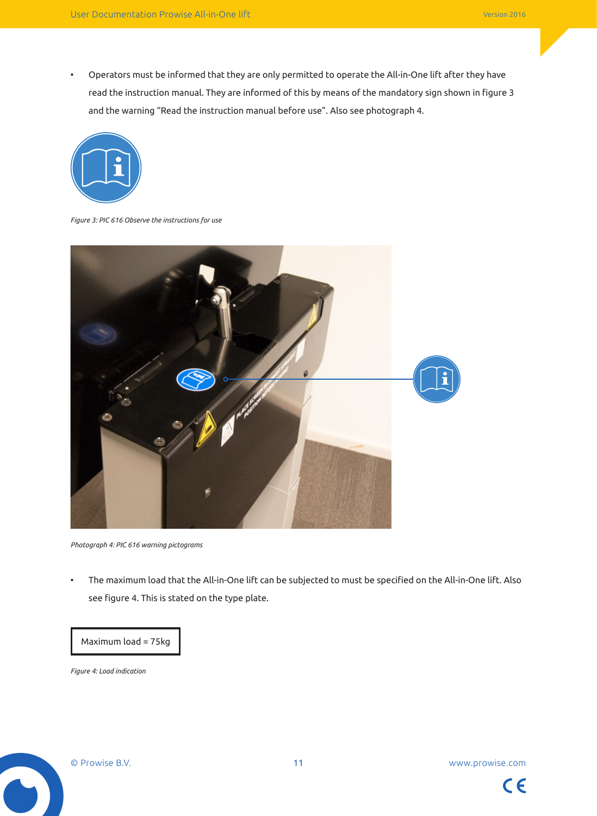• Operators must be informed that they are only permitted to operate the All-in-One lift after they have read the instruction manual. They are informed of this by means of the mandatory sign shown in figure 3 and the warning "Read the instruction manual before use". Also see photograph 4.



*Figure 3: PIC 616 Observe the instructions for use*



*Photograph 4: PIC 616 warning pictograms*

• The maximum load that the All-in-One lift can be subjected to must be specified on the All-in-One lift. Also see figure 4. This is stated on the type plate.

#### Maximum load = 75kg

*Figure 4: Load indication*



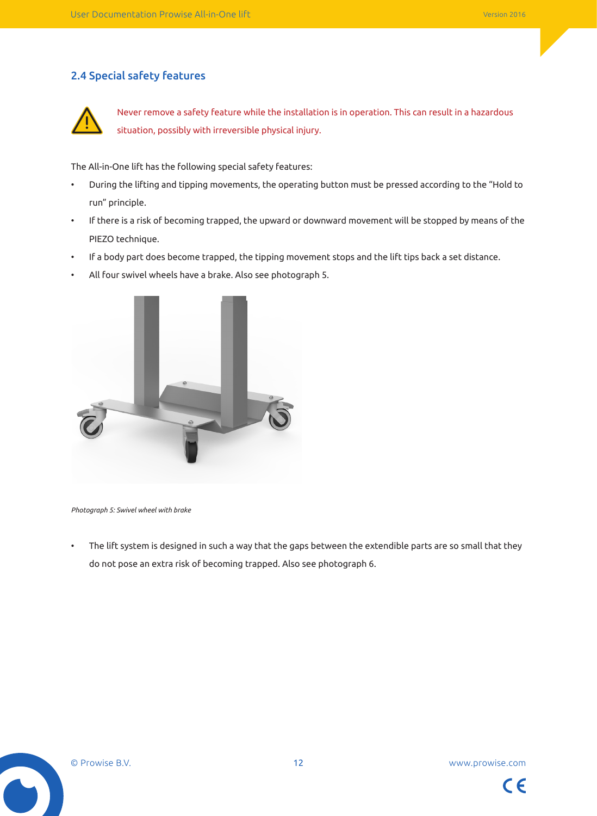### 2.4 Special safety features



Never remove a safety feature while the installation is in operation. This can result in a hazardous situation, possibly with irreversible physical injury.

The All-in-One lift has the following special safety features:

- During the lifting and tipping movements, the operating button must be pressed according to the "Hold to run" principle.
- If there is a risk of becoming trapped, the upward or downward movement will be stopped by means of the PIEZO technique.
- If a body part does become trapped, the tipping movement stops and the lift tips back a set distance.
- All four swivel wheels have a brake. Also see photograph 5.



*Photograph 5: Swivel wheel with brake*

• The lift system is designed in such a way that the gaps between the extendible parts are so small that they do not pose an extra risk of becoming trapped. Also see photograph 6.

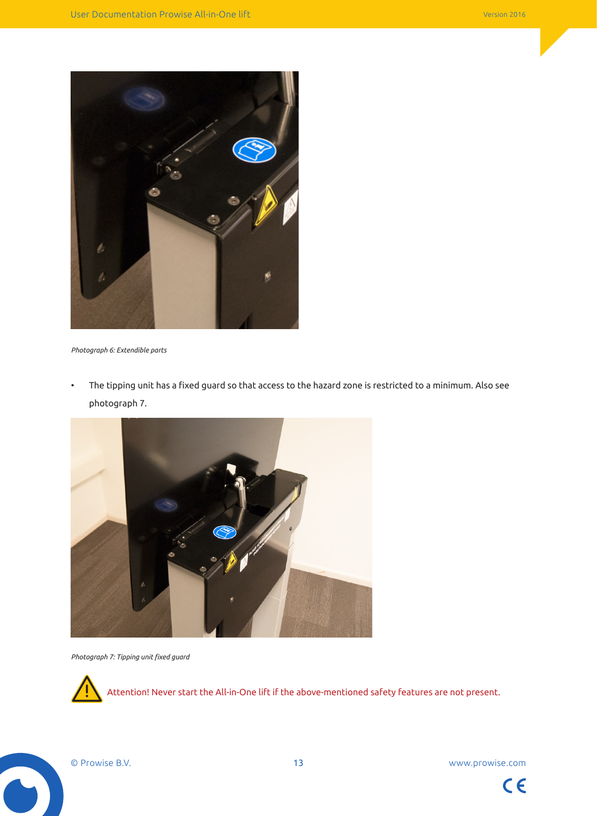

*Photograph 6: Extendible parts*

• The tipping unit has a fixed guard so that access to the hazard zone is restricted to a minimum. Also see photograph 7.



*Photograph 7: Tipping unit fixed guard*



Attention! Never start the All-in-One lift if the above-mentioned safety features are not present.

© Prowise B.V. 13 www.prowise.com

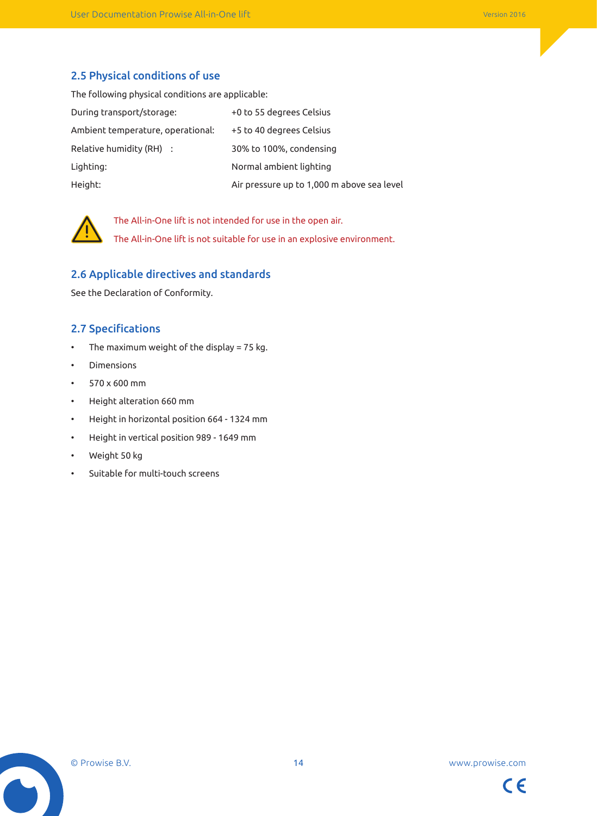### 2.5 Physical conditions of use

The following physical conditions are applicable:

| During transport/storage:         | +0 to 55 degrees Celsius                   |
|-----------------------------------|--------------------------------------------|
| Ambient temperature, operational: | +5 to 40 degrees Celsius                   |
| Relative humidity (RH) :          | 30% to 100%, condensing                    |
| Lighting:                         | Normal ambient lighting                    |
| Height:                           | Air pressure up to 1,000 m above sea level |



The All-in-One lift is not intended for use in the open air. The All-in-One lift is not suitable for use in an explosive environment.

### 2.6 Applicable directives and standards

See the Declaration of Conformity.

### 2.7 Specifications

- The maximum weight of the display = 75 kg.
- Dimensions
- 570 x 600 mm
- Height alteration 660 mm
- Height in horizontal position 664 1324 mm
- Height in vertical position 989 1649 mm
- Weight 50 kg
- Suitable for multi-touch screens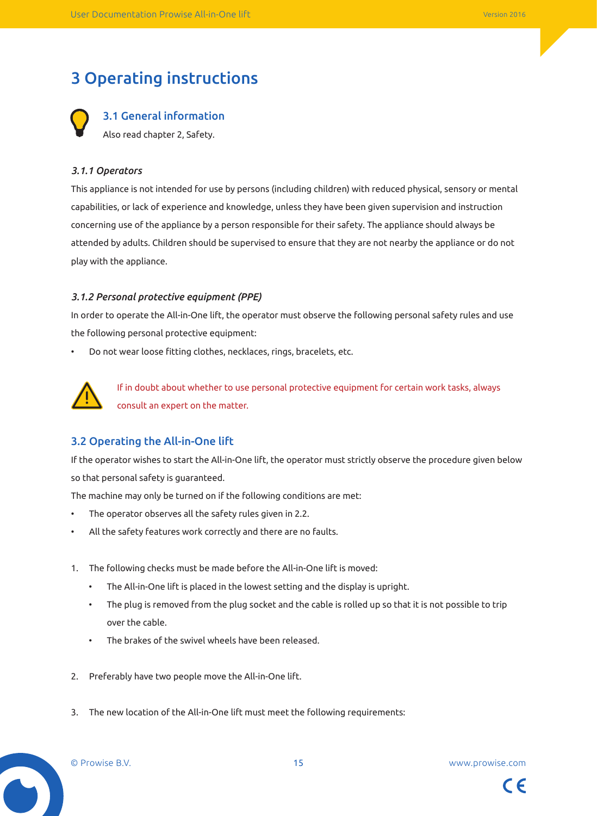# 3 Operating instructions

3.1 General information Also read chapter 2, Safety.

### *3.1.1 Operators*

This appliance is not intended for use by persons (including children) with reduced physical, sensory or mental capabilities, or lack of experience and knowledge, unless they have been given supervision and instruction concerning use of the appliance by a person responsible for their safety. The appliance should always be attended by adults. Children should be supervised to ensure that they are not nearby the appliance or do not play with the appliance.

### *3.1.2 Personal protective equipment (PPE)*

In order to operate the All-in-One lift, the operator must observe the following personal safety rules and use the following personal protective equipment:

• Do not wear loose fitting clothes, necklaces, rings, bracelets, etc.



If in doubt about whether to use personal protective equipment for certain work tasks, always consult an expert on the matter.

### 3.2 Operating the All-in-One lift

If the operator wishes to start the All-in-One lift, the operator must strictly observe the procedure given below so that personal safety is guaranteed.

The machine may only be turned on if the following conditions are met:

- The operator observes all the safety rules given in 2.2.
- All the safety features work correctly and there are no faults.
- 1. The following checks must be made before the All-in-One lift is moved:
	- The All-in-One lift is placed in the lowest setting and the display is upright.
	- The plug is removed from the plug socket and the cable is rolled up so that it is not possible to trip over the cable.
	- The brakes of the swivel wheels have been released.
- 2. Preferably have two people move the All-in-One lift.
- 3. The new location of the All-in-One lift must meet the following requirements:



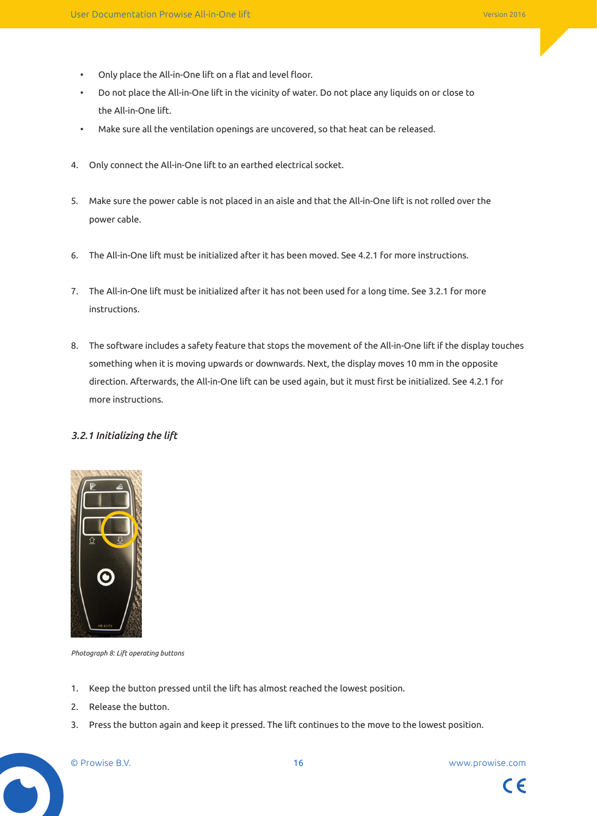- Only place the All-in-One lift on a flat and level floor.
- Do not place the All-in-One lift in the vicinity of water. Do not place any liquids on or close to the All-in-One lift.
- Make sure all the ventilation openings are uncovered, so that heat can be released.
- 4. Only connect the All-in-One lift to an earthed electrical socket.
- 5. Make sure the power cable is not placed in an aisle and that the All-in-One lift is not rolled over the power cable.
- 6. The All-in-One lift must be initialized after it has been moved. See 4.2.1 for more instructions.
- 7. The All-in-One lift must be initialized after it has not been used for a long time. See 3.2.1 for more instructions.
- 8. The software includes a safety feature that stops the movement of the All-in-One lift if the display touches something when it is moving upwards or downwards. Next, the display moves 10 mm in the opposite direction. Afterwards, the All-in-One lift can be used again, but it must first be initialized. See 4.2.1 for more instructions.

### *3.2.1 Initializing the lift*



*Photograph 8: Lift operating buttons*

- 1. Keep the button pressed until the lift has almost reached the lowest position.
- 2. Release the button.
- 3. Press the button again and keep it pressed. The lift continues to the move to the lowest position.

 $\epsilon$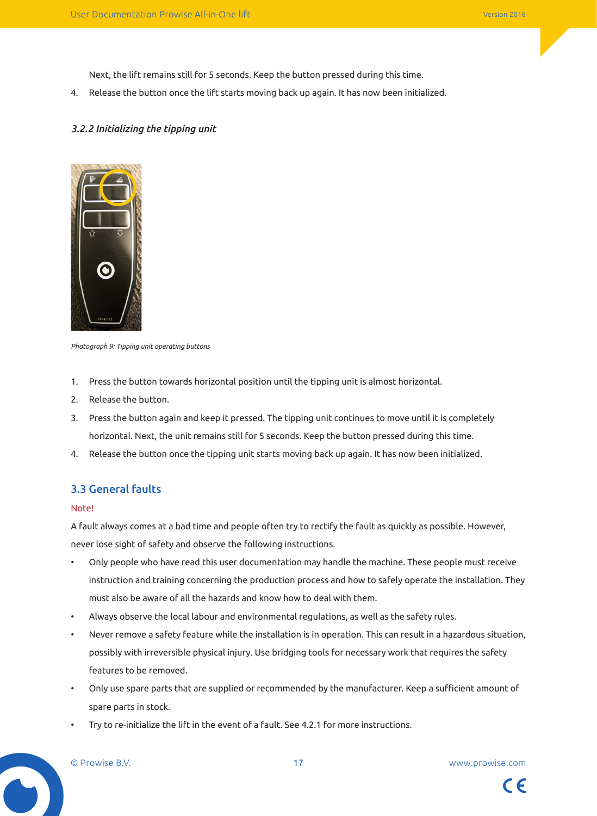Next, the lift remains still for 5 seconds. Keep the button pressed during this time.

4. Release the button once the lift starts moving back up again. It has now been initialized.

### *3.2.2 Initializing the tipping unit*



*Photograph 9: Tipping unit operating buttons*

- 1. Press the button towards horizontal position until the tipping unit is almost horizontal.
- 2. Release the button.
- 3. Press the button again and keep it pressed. The tipping unit continues to move until it is completely horizontal. Next, the unit remains still for 5 seconds. Keep the button pressed during this time.
- 4. Release the button once the tipping unit starts moving back up again. It has now been initialized.

### 3.3 General faults

#### Note!

A fault always comes at a bad time and people often try to rectify the fault as quickly as possible. However, never lose sight of safety and observe the following instructions.

- Only people who have read this user documentation may handle the machine. These people must receive instruction and training concerning the production process and how to safely operate the installation. They must also be aware of all the hazards and know how to deal with them.
- Always observe the local labour and environmental regulations, as well as the safety rules.
- Never remove a safety feature while the installation is in operation. This can result in a hazardous situation, possibly with irreversible physical injury. Use bridging tools for necessary work that requires the safety features to be removed.
- Only use spare parts that are supplied or recommended by the manufacturer. Keep a sufficient amount of spare parts in stock.
- Try to re-initialize the lift in the event of a fault. See 4.2.1 for more instructions.

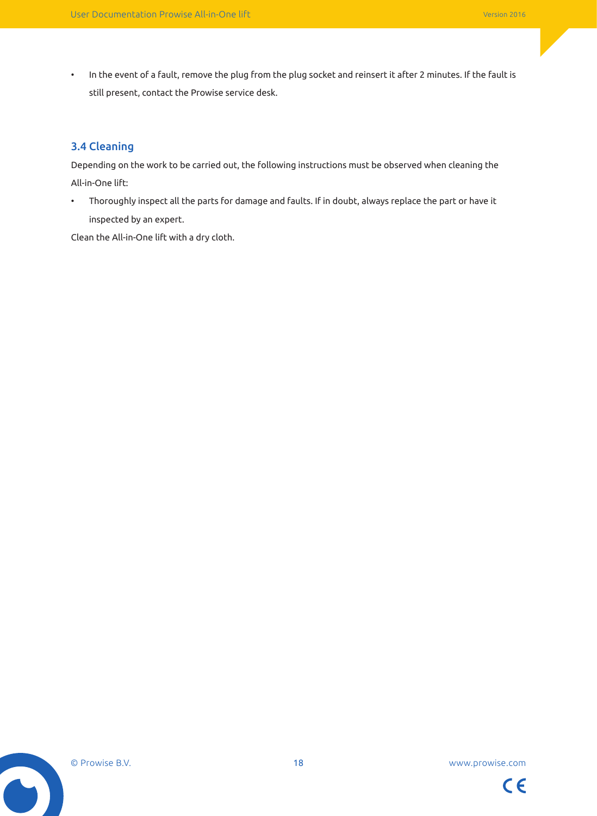• In the event of a fault, remove the plug from the plug socket and reinsert it after 2 minutes. If the fault is still present, contact the Prowise service desk.

### 3.4 Cleaning

Depending on the work to be carried out, the following instructions must be observed when cleaning the All-in-One lift:

• Thoroughly inspect all the parts for damage and faults. If in doubt, always replace the part or have it inspected by an expert.

Clean the All-in-One lift with a dry cloth.



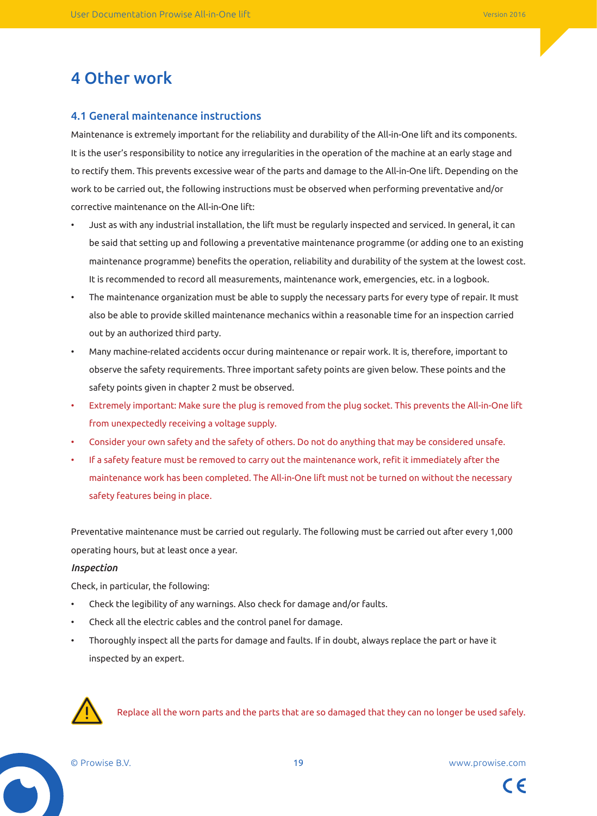# 4 Other work

### 4.1 General maintenance instructions

Maintenance is extremely important for the reliability and durability of the All-in-One lift and its components. It is the user's responsibility to notice any irregularities in the operation of the machine at an early stage and to rectify them. This prevents excessive wear of the parts and damage to the All-in-One lift. Depending on the work to be carried out, the following instructions must be observed when performing preventative and/or corrective maintenance on the All-in-One lift:

- Just as with any industrial installation, the lift must be regularly inspected and serviced. In general, it can be said that setting up and following a preventative maintenance programme (or adding one to an existing maintenance programme) benefits the operation, reliability and durability of the system at the lowest cost. It is recommended to record all measurements, maintenance work, emergencies, etc. in a logbook.
- The maintenance organization must be able to supply the necessary parts for every type of repair. It must also be able to provide skilled maintenance mechanics within a reasonable time for an inspection carried out by an authorized third party.
- Many machine-related accidents occur during maintenance or repair work. It is, therefore, important to observe the safety requirements. Three important safety points are given below. These points and the safety points given in chapter 2 must be observed.
- Extremely important: Make sure the plug is removed from the plug socket. This prevents the All-in-One lift from unexpectedly receiving a voltage supply.
- Consider your own safety and the safety of others. Do not do anything that may be considered unsafe.
- If a safety feature must be removed to carry out the maintenance work, refit it immediately after the maintenance work has been completed. The All-in-One lift must not be turned on without the necessary safety features being in place.

Preventative maintenance must be carried out regularly. The following must be carried out after every 1,000 operating hours, but at least once a year.

#### *Inspection*

Check, in particular, the following:

- Check the legibility of any warnings. Also check for damage and/or faults.
- Check all the electric cables and the control panel for damage.
- Thoroughly inspect all the parts for damage and faults. If in doubt, always replace the part or have it inspected by an expert.



Replace all the worn parts and the parts that are so damaged that they can no longer be used safely.



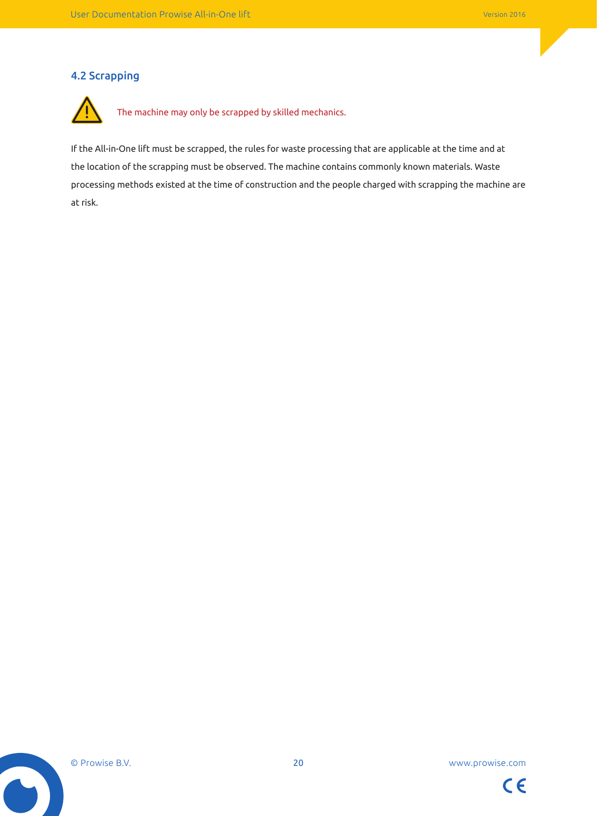### 4.2 Scrapping



If the All-in-One lift must be scrapped, the rules for waste processing that are applicable at the time and at the location of the scrapping must be observed. The machine contains commonly known materials. Waste processing methods existed at the time of construction and the people charged with scrapping the machine are at risk.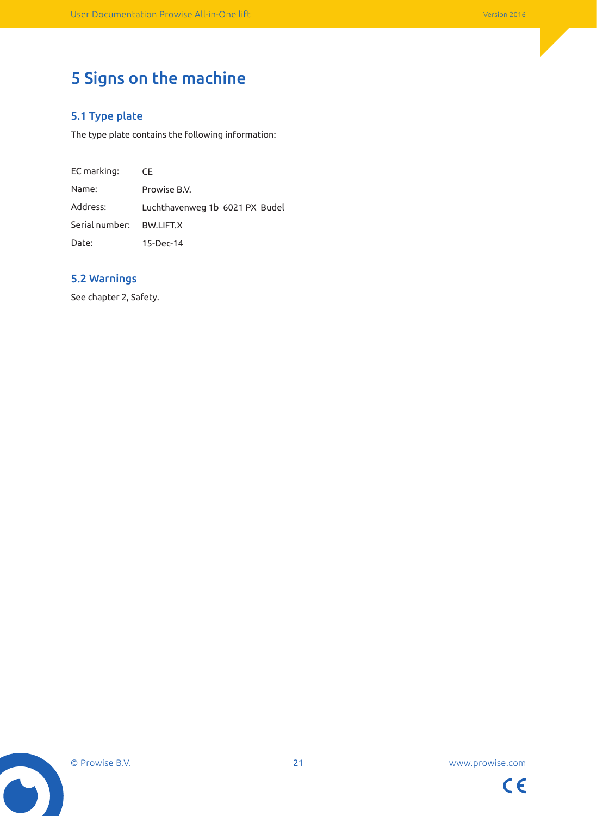# 5 Signs on the machine

## 5.1 Type plate

The type plate contains the following information:

EC marking: Name: Address: Serial number: Date: **CE** Prowise B.V. Luchthavenweg 1b 6021 PX Budel BW.LIFT.X 15-Dec-14

### 5.2 Warnings

See chapter 2, Safety.